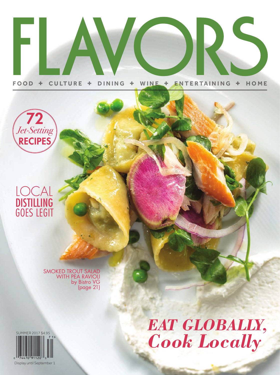# NINE + ENTE WINE + ENTE L.

**F O O D + CULTURE + D I N I NG + F O O D + CULTURE + D I N I NG + <sup>W</sup> <sup>I</sup> NE + ENTERTA I NING + HO M E <sup>W</sup> <sup>I</sup> NE + ENTERTA I NING + HO M E**





SMOKED TROUT SALAD WITH PEA RAVIOLI by Bistro VG (page 21)



*EAT GLOBALLY, Cook Locally*